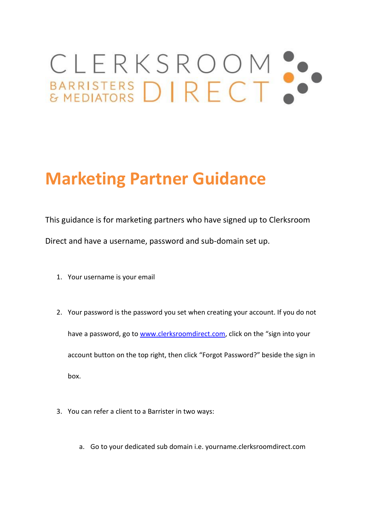# CLERKSROOM ...

# **Marketing Partner Guidance**

This guidance is for marketing partners who have signed up to Clerksroom Direct and have a username, password and sub-domain set up.

- 1. Your username is your email
- 2. Your password is the password you set when creating your account. If you do not have a password, go to [www.clerksroomdirect.com](http://www.clerksroomdirect.com/), click on the "sign into your account button on the top right, then click "Forgot Password?" beside the sign in box.
- 3. You can refer a client to a Barrister in two ways:
	- a. Go to your dedicated sub domain i.e. yourname.clerksroomdirect.com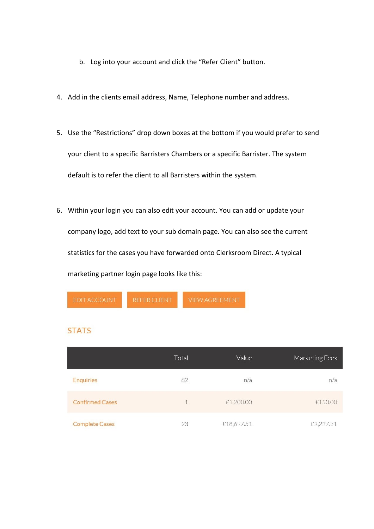- b. Log into your account and click the "Refer Client" button.
- 4. Add in the clients email address, Name, Telephone number and address.
- 5. Use the "Restrictions" drop down boxes at the bottom if you would prefer to send your client to a specific Barristers Chambers or a specific Barrister. The system default is to refer the client to all Barristers within the system.
- 6. Within your login you can also edit your account. You can add or update your company logo, add text to your sub domain page. You can also see the current statistics for the cases you have forwarded onto Clerksroom Direct. A typical marketing partner login page looks like this:



### **STATS**

|                        | Total | Value      | Marketing Fees |
|------------------------|-------|------------|----------------|
| <b>Enquiries</b>       | 82    | n/a        | n/a            |
| <b>Confirmed Cases</b> | 1     | £1,200.00  | £150.00        |
| <b>Complete Cases</b>  | 23    | £18,627.51 | £2,227.31      |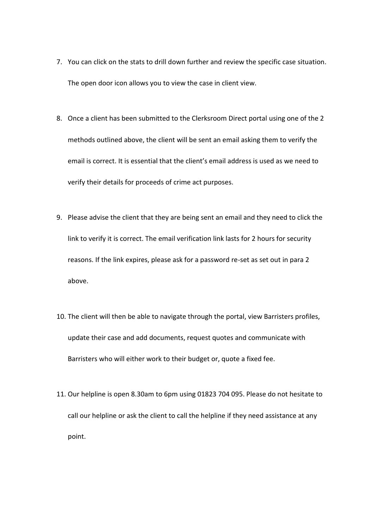- 7. You can click on the stats to drill down further and review the specific case situation. The open door icon allows you to view the case in client view.
- 8. Once a client has been submitted to the Clerksroom Direct portal using one of the 2 methods outlined above, the client will be sent an email asking them to verify the email is correct. It is essential that the client's email address is used as we need to verify their details for proceeds of crime act purposes.
- 9. Please advise the client that they are being sent an email and they need to click the link to verify it is correct. The email verification link lasts for 2 hours for security reasons. If the link expires, please ask for a password re-set as set out in para 2 above.
- 10. The client will then be able to navigate through the portal, view Barristers profiles, update their case and add documents, request quotes and communicate with Barristers who will either work to their budget or, quote a fixed fee.
- 11. Our helpline is open 8.30am to 6pm using 01823 704 095. Please do not hesitate to call our helpline or ask the client to call the helpline if they need assistance at any point.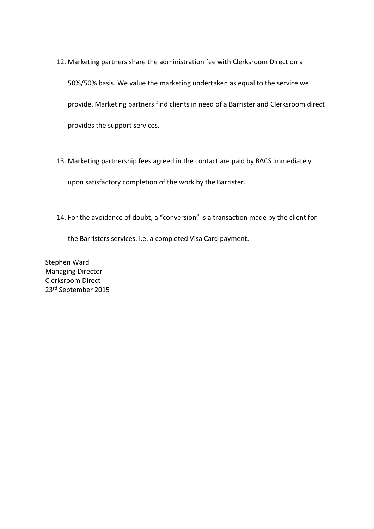- 12. Marketing partners share the administration fee with Clerksroom Direct on a 50%/50% basis. We value the marketing undertaken as equal to the service we provide. Marketing partners find clients in need of a Barrister and Clerksroom direct provides the support services.
- 13. Marketing partnership fees agreed in the contact are paid by BACS immediately upon satisfactory completion of the work by the Barrister.
- 14. For the avoidance of doubt, a "conversion" is a transaction made by the client for

the Barristers services. i.e. a completed Visa Card payment.

Stephen Ward Managing Director Clerksroom Direct 23rd September 2015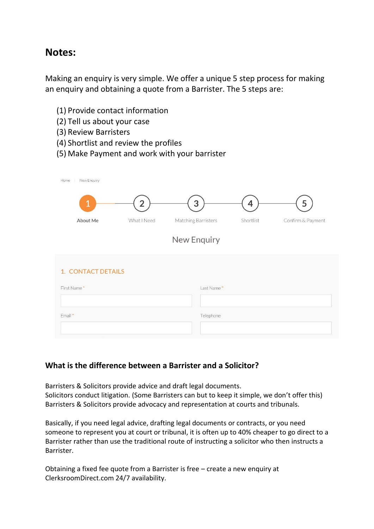# **Notes:**

Making an enquiry is very simple. We offer a unique 5 step process for making an enquiry and obtaining a quote from a Barrister. The 5 steps are:

- (1) Provide contact information
- (2) Tell us about your case
- (3) Review Barristers
- (4) Shortlist and review the profiles
- (5) Make Payment and work with your barrister

| New Enquiry<br>Home      |                               |                          |                |                        |
|--------------------------|-------------------------------|--------------------------|----------------|------------------------|
| $\mathbf{1}$<br>About Me | $\overline{2}$<br>What I Need | 3<br>Matching Barristers | 4<br>Shortlist | 5<br>Confirm & Payment |
|                          |                               | New Enquiry              |                |                        |
| 1. CONTACT DETAILS       |                               |                          |                |                        |
| First Name*              |                               | Last Name*               |                |                        |
|                          |                               |                          |                |                        |
| Email*                   |                               | Telephone                |                |                        |
|                          |                               |                          |                |                        |

### **What is the difference between a Barrister and a Solicitor?**

Barristers & Solicitors provide advice and draft legal documents. Solicitors conduct litigation. (Some Barristers can but to keep it simple, we don't offer this) Barristers & Solicitors provide advocacy and representation at courts and tribunals.

Basically, if you need legal advice, drafting legal documents or contracts, or you need someone to represent you at court or tribunal, it is often up to 40% cheaper to go direct to a Barrister rather than use the traditional route of instructing a solicitor who then instructs a Barrister.

Obtaining a fixed fee quote from a Barrister is free – create a new enquiry at ClerksroomDirect.com 24/7 availability.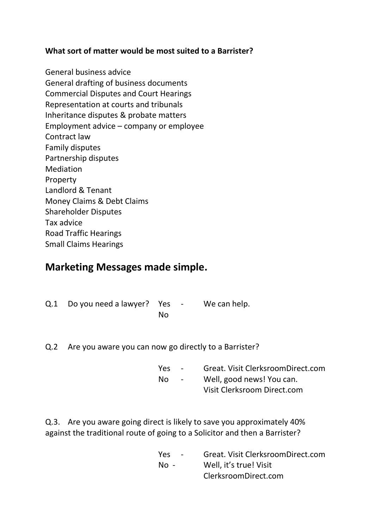### **What sort of matter would be most suited to a Barrister?**

General business advice General drafting of business documents Commercial Disputes and Court Hearings Representation at courts and tribunals Inheritance disputes & probate matters Employment advice – company or employee Contract law Family disputes Partnership disputes Mediation Property Landlord & Tenant Money Claims & Debt Claims Shareholder Disputes Tax advice Road Traffic Hearings Small Claims Hearings

## **Marketing Messages made simple.**

Q.1 Do you need a lawyer? Yes - We can help. No

Q.2 Are you aware you can now go directly to a Barrister?

Yes - Great. Visit ClerksroomDirect.com No - Well, good news! You can. Visit Clerksroom Direct.com

Q.3. Are you aware going direct is likely to save you approximately 40% against the traditional route of going to a Solicitor and then a Barrister?

| <b>Yes</b><br>$\overline{\phantom{0}}$ | Great. Visit ClerksroomDirect.com |
|----------------------------------------|-----------------------------------|
| No -                                   | Well, it's true! Visit            |
|                                        | ClerksroomDirect.com              |